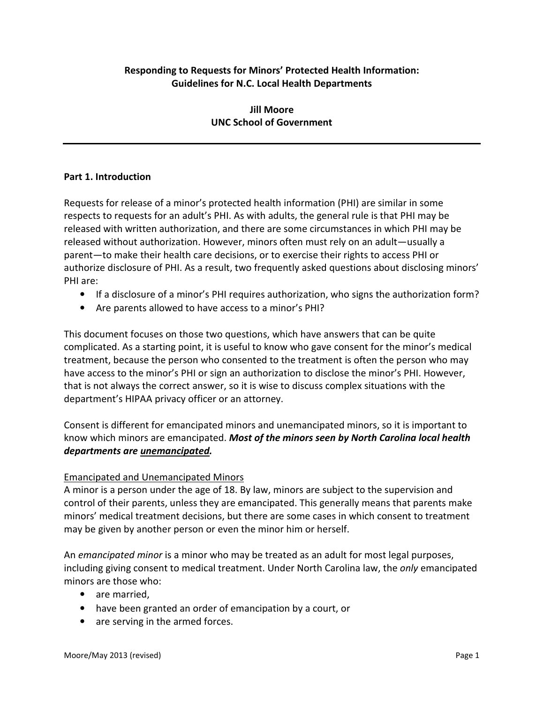# Responding to Requests for Minors' Protected Health Information: Guidelines for N.C. Local Health Departments

## Jill Moore UNC School of Government

### Part 1. Introduction

Requests for release of a minor's protected health information (PHI) are similar in some respects to requests for an adult's PHI. As with adults, the general rule is that PHI may be released with written authorization, and there are some circumstances in which PHI may be released without authorization. However, minors often must rely on an adult—usually a parent—to make their health care decisions, or to exercise their rights to access PHI or authorize disclosure of PHI. As a result, two frequently asked questions about disclosing minors' PHI are:

- If a disclosure of a minor's PHI requires authorization, who signs the authorization form?
- Are parents allowed to have access to a minor's PHI?

This document focuses on those two questions, which have answers that can be quite complicated. As a starting point, it is useful to know who gave consent for the minor's medical treatment, because the person who consented to the treatment is often the person who may have access to the minor's PHI or sign an authorization to disclose the minor's PHI. However, that is not always the correct answer, so it is wise to discuss complex situations with the department's HIPAA privacy officer or an attorney.

Consent is different for emancipated minors and unemancipated minors, so it is important to know which minors are emancipated. Most of the minors seen by North Carolina local health departments are unemancipated.

### Emancipated and Unemancipated Minors

A minor is a person under the age of 18. By law, minors are subject to the supervision and control of their parents, unless they are emancipated. This generally means that parents make minors' medical treatment decisions, but there are some cases in which consent to treatment may be given by another person or even the minor him or herself.

An emancipated minor is a minor who may be treated as an adult for most legal purposes, including giving consent to medical treatment. Under North Carolina law, the *only* emancipated minors are those who:

- are married,
- have been granted an order of emancipation by a court, or
- are serving in the armed forces.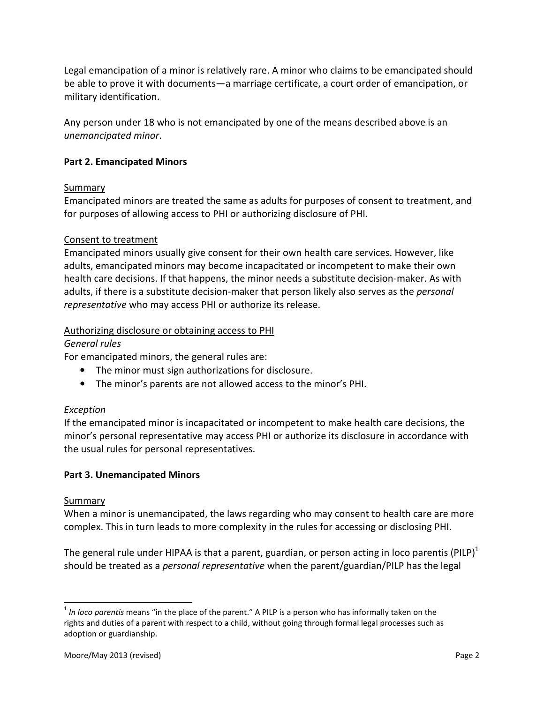Legal emancipation of a minor is relatively rare. A minor who claims to be emancipated should be able to prove it with documents—a marriage certificate, a court order of emancipation, or military identification.

Any person under 18 who is not emancipated by one of the means described above is an unemancipated minor.

## Part 2. Emancipated Minors

### Summary

Emancipated minors are treated the same as adults for purposes of consent to treatment, and for purposes of allowing access to PHI or authorizing disclosure of PHI.

### Consent to treatment

Emancipated minors usually give consent for their own health care services. However, like adults, emancipated minors may become incapacitated or incompetent to make their own health care decisions. If that happens, the minor needs a substitute decision-maker. As with adults, if there is a substitute decision-maker that person likely also serves as the *personal* representative who may access PHI or authorize its release.

### Authorizing disclosure or obtaining access to PHI

#### General rules

For emancipated minors, the general rules are:

- The minor must sign authorizations for disclosure.
- The minor's parents are not allowed access to the minor's PHI.

### Exception

If the emancipated minor is incapacitated or incompetent to make health care decisions, the minor's personal representative may access PHI or authorize its disclosure in accordance with the usual rules for personal representatives.

### Part 3. Unemancipated Minors

#### **Summary**

 $\overline{a}$ 

When a minor is unemancipated, the laws regarding who may consent to health care are more complex. This in turn leads to more complexity in the rules for accessing or disclosing PHI.

The general rule under HIPAA is that a parent, guardian, or person acting in loco parentis (PILP)<sup>1</sup> should be treated as a *personal representative* when the parent/guardian/PILP has the legal

 $1$  In loco parentis means "in the place of the parent." A PILP is a person who has informally taken on the rights and duties of a parent with respect to a child, without going through formal legal processes such as adoption or guardianship.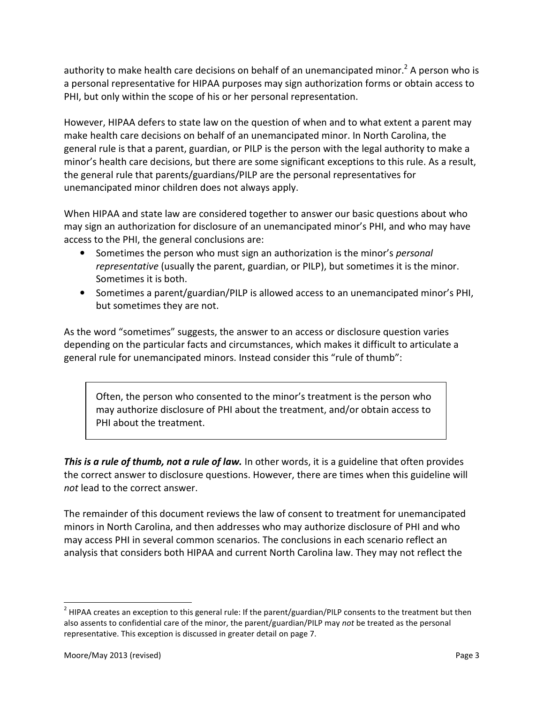authority to make health care decisions on behalf of an unemancipated minor.<sup>2</sup> A person who is a personal representative for HIPAA purposes may sign authorization forms or obtain access to PHI, but only within the scope of his or her personal representation.

However, HIPAA defers to state law on the question of when and to what extent a parent may make health care decisions on behalf of an unemancipated minor. In North Carolina, the general rule is that a parent, guardian, or PILP is the person with the legal authority to make a minor's health care decisions, but there are some significant exceptions to this rule. As a result, the general rule that parents/guardians/PILP are the personal representatives for unemancipated minor children does not always apply.

When HIPAA and state law are considered together to answer our basic questions about who may sign an authorization for disclosure of an unemancipated minor's PHI, and who may have access to the PHI, the general conclusions are:

- Sometimes the person who must sign an authorization is the minor's personal representative (usually the parent, guardian, or PILP), but sometimes it is the minor. Sometimes it is both.
- Sometimes a parent/guardian/PILP is allowed access to an unemancipated minor's PHI, but sometimes they are not.

As the word "sometimes" suggests, the answer to an access or disclosure question varies depending on the particular facts and circumstances, which makes it difficult to articulate a general rule for unemancipated minors. Instead consider this "rule of thumb":

Often, the person who consented to the minor's treatment is the person who may authorize disclosure of PHI about the treatment, and/or obtain access to PHI about the treatment.

This is a rule of thumb, not a rule of law. In other words, it is a guideline that often provides the correct answer to disclosure questions. However, there are times when this guideline will not lead to the correct answer.

The remainder of this document reviews the law of consent to treatment for unemancipated minors in North Carolina, and then addresses who may authorize disclosure of PHI and who may access PHI in several common scenarios. The conclusions in each scenario reflect an analysis that considers both HIPAA and current North Carolina law. They may not reflect the

<sup>&</sup>lt;sup>2</sup> HIPAA creates an exception to this general rule: If the parent/guardian/PILP consents to the treatment but then also assents to confidential care of the minor, the parent/guardian/PILP may not be treated as the personal representative. This exception is discussed in greater detail on page 7.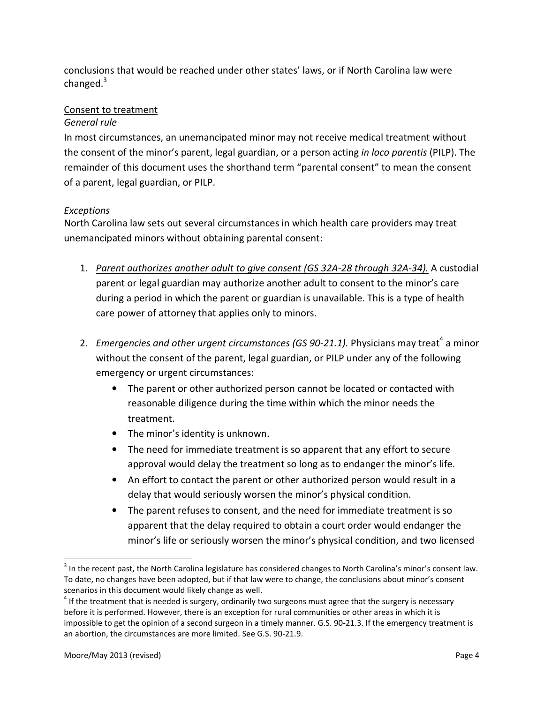conclusions that would be reached under other states' laws, or if North Carolina law were changed.<sup>3</sup>

## Consent to treatment

### General rule

In most circumstances, an unemancipated minor may not receive medical treatment without the consent of the minor's parent, legal guardian, or a person acting in loco parentis (PILP). The remainder of this document uses the shorthand term "parental consent" to mean the consent of a parent, legal guardian, or PILP.

# Exceptions

North Carolina law sets out several circumstances in which health care providers may treat unemancipated minors without obtaining parental consent:

- 1. Parent authorizes another adult to give consent (GS 32A-28 through 32A-34). A custodial parent or legal guardian may authorize another adult to consent to the minor's care during a period in which the parent or guardian is unavailable. This is a type of health care power of attorney that applies only to minors.
- 2. Emergencies and other urgent circumstances (GS 90-21.1). Physicians may treat<sup>4</sup> a minor without the consent of the parent, legal guardian, or PILP under any of the following emergency or urgent circumstances:
	- The parent or other authorized person cannot be located or contacted with reasonable diligence during the time within which the minor needs the treatment.
	- The minor's identity is unknown.
	- The need for immediate treatment is so apparent that any effort to secure approval would delay the treatment so long as to endanger the minor's life.
	- An effort to contact the parent or other authorized person would result in a delay that would seriously worsen the minor's physical condition.
	- The parent refuses to consent, and the need for immediate treatment is so apparent that the delay required to obtain a court order would endanger the minor's life or seriously worsen the minor's physical condition, and two licensed

l

 $3$  In the recent past, the North Carolina legislature has considered changes to North Carolina's minor's consent law. To date, no changes have been adopted, but if that law were to change, the conclusions about minor's consent scenarios in this document would likely change as well.

 $<sup>4</sup>$  If the treatment that is needed is surgery, ordinarily two surgeons must agree that the surgery is necessary</sup> before it is performed. However, there is an exception for rural communities or other areas in which it is impossible to get the opinion of a second surgeon in a timely manner. G.S. 90-21.3. If the emergency treatment is an abortion, the circumstances are more limited. See G.S. 90-21.9.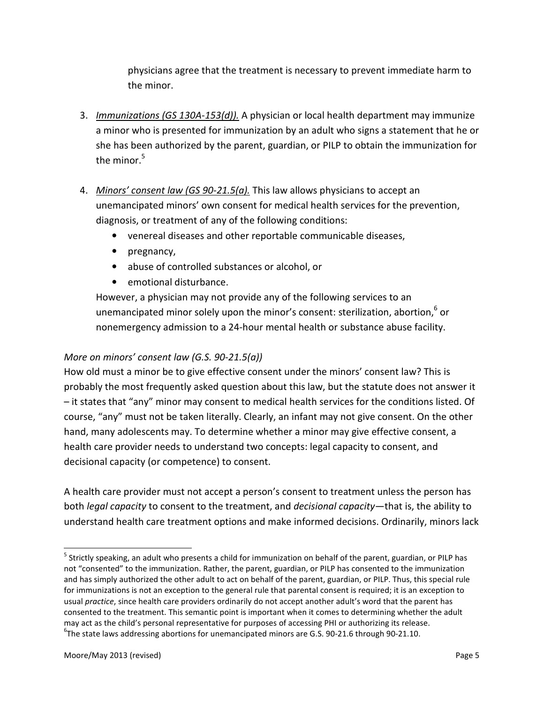physicians agree that the treatment is necessary to prevent immediate harm to the minor.

- 3. Immunizations (GS 130A-153(d)). A physician or local health department may immunize a minor who is presented for immunization by an adult who signs a statement that he or she has been authorized by the parent, guardian, or PILP to obtain the immunization for the minor. $^5$
- 4. Minors' consent law (GS 90-21.5(a). This law allows physicians to accept an unemancipated minors' own consent for medical health services for the prevention, diagnosis, or treatment of any of the following conditions:
	- venereal diseases and other reportable communicable diseases,
	- pregnancy,
	- abuse of controlled substances or alcohol, or
	- emotional disturbance.

However, a physician may not provide any of the following services to an unemancipated minor solely upon the minor's consent: sterilization, abortion,  $6$  or nonemergency admission to a 24-hour mental health or substance abuse facility.

## More on minors' consent law (G.S. 90-21.5(a))

How old must a minor be to give effective consent under the minors' consent law? This is probably the most frequently asked question about this law, but the statute does not answer it – it states that "any" minor may consent to medical health services for the conditions listed. Of course, "any" must not be taken literally. Clearly, an infant may not give consent. On the other hand, many adolescents may. To determine whether a minor may give effective consent, a health care provider needs to understand two concepts: legal capacity to consent, and decisional capacity (or competence) to consent.

A health care provider must not accept a person's consent to treatment unless the person has both *legal capacity* to consent to the treatment, and *decisional capacity*—that is, the ability to understand health care treatment options and make informed decisions. Ordinarily, minors lack

<sup>&</sup>lt;sup>5</sup> Strictly speaking, an adult who presents a child for immunization on behalf of the parent, guardian, or PILP has not "consented" to the immunization. Rather, the parent, guardian, or PILP has consented to the immunization and has simply authorized the other adult to act on behalf of the parent, guardian, or PILP. Thus, this special rule for immunizations is not an exception to the general rule that parental consent is required; it is an exception to usual practice, since health care providers ordinarily do not accept another adult's word that the parent has consented to the treatment. This semantic point is important when it comes to determining whether the adult may act as the child's personal representative for purposes of accessing PHI or authorizing its release.  ${}^{6}$ The state laws addressing abortions for unemancipated minors are G.S. 90-21.6 through 90-21.10.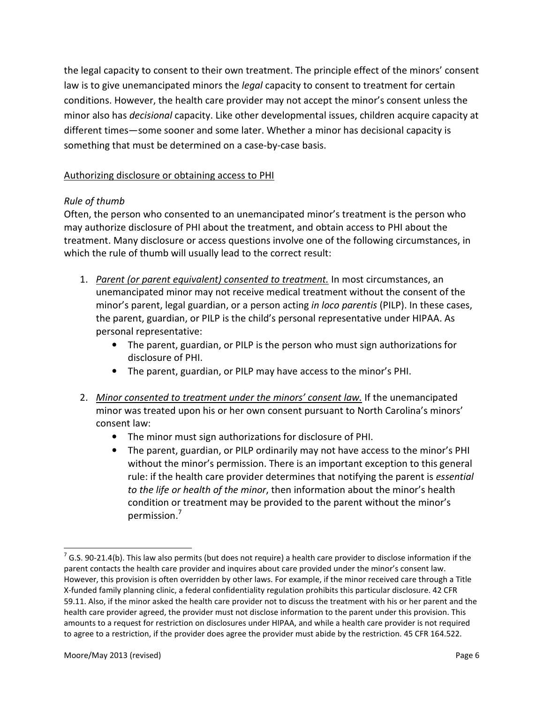the legal capacity to consent to their own treatment. The principle effect of the minors' consent law is to give unemancipated minors the *legal* capacity to consent to treatment for certain conditions. However, the health care provider may not accept the minor's consent unless the minor also has decisional capacity. Like other developmental issues, children acquire capacity at different times—some sooner and some later. Whether a minor has decisional capacity is something that must be determined on a case-by-case basis.

## Authorizing disclosure or obtaining access to PHI

# Rule of thumb

Often, the person who consented to an unemancipated minor's treatment is the person who may authorize disclosure of PHI about the treatment, and obtain access to PHI about the treatment. Many disclosure or access questions involve one of the following circumstances, in which the rule of thumb will usually lead to the correct result:

- 1. Parent (or parent equivalent) consented to treatment. In most circumstances, an unemancipated minor may not receive medical treatment without the consent of the minor's parent, legal guardian, or a person acting in loco parentis (PILP). In these cases, the parent, guardian, or PILP is the child's personal representative under HIPAA. As personal representative:
	- The parent, guardian, or PILP is the person who must sign authorizations for disclosure of PHI.
	- The parent, guardian, or PILP may have access to the minor's PHI.
- 2. Minor consented to treatment under the minors' consent law. If the unemancipated minor was treated upon his or her own consent pursuant to North Carolina's minors' consent law:
	- The minor must sign authorizations for disclosure of PHI.
	- The parent, guardian, or PILP ordinarily may not have access to the minor's PHI without the minor's permission. There is an important exception to this general rule: if the health care provider determines that notifying the parent is essential to the life or health of the minor, then information about the minor's health condition or treatment may be provided to the parent without the minor's permission.<sup>7</sup>

 $^7$  G.S. 90-21.4(b). This law also permits (but does not require) a health care provider to disclose information if the parent contacts the health care provider and inquires about care provided under the minor's consent law. However, this provision is often overridden by other laws. For example, if the minor received care through a Title X-funded family planning clinic, a federal confidentiality regulation prohibits this particular disclosure. 42 CFR 59.11. Also, if the minor asked the health care provider not to discuss the treatment with his or her parent and the health care provider agreed, the provider must not disclose information to the parent under this provision. This amounts to a request for restriction on disclosures under HIPAA, and while a health care provider is not required to agree to a restriction, if the provider does agree the provider must abide by the restriction. 45 CFR 164.522.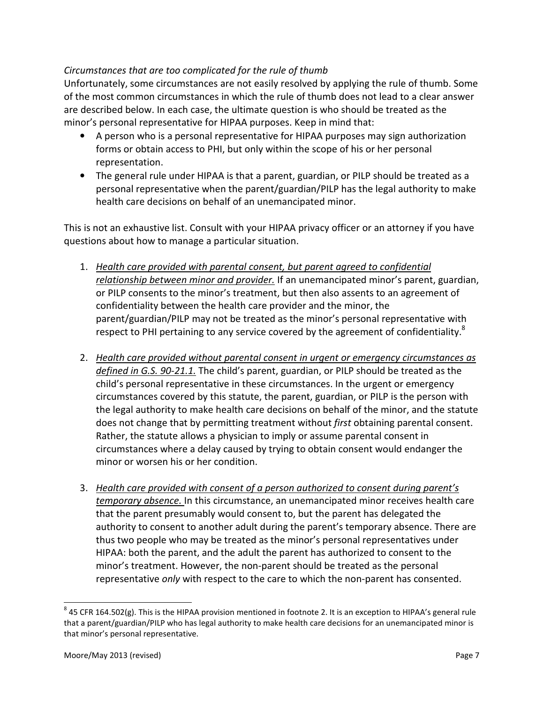### Circumstances that are too complicated for the rule of thumb

Unfortunately, some circumstances are not easily resolved by applying the rule of thumb. Some of the most common circumstances in which the rule of thumb does not lead to a clear answer are described below. In each case, the ultimate question is who should be treated as the minor's personal representative for HIPAA purposes. Keep in mind that:

- A person who is a personal representative for HIPAA purposes may sign authorization forms or obtain access to PHI, but only within the scope of his or her personal representation.
- The general rule under HIPAA is that a parent, guardian, or PILP should be treated as a personal representative when the parent/guardian/PILP has the legal authority to make health care decisions on behalf of an unemancipated minor.

This is not an exhaustive list. Consult with your HIPAA privacy officer or an attorney if you have questions about how to manage a particular situation.

- 1. Health care provided with parental consent, but parent agreed to confidential relationship between minor and provider. If an unemancipated minor's parent, guardian, or PILP consents to the minor's treatment, but then also assents to an agreement of confidentiality between the health care provider and the minor, the parent/guardian/PILP may not be treated as the minor's personal representative with respect to PHI pertaining to any service covered by the agreement of confidentiality.<sup>8</sup>
- 2. Health care provided without parental consent in urgent or emergency circumstances as defined in G.S. 90-21.1. The child's parent, guardian, or PILP should be treated as the child's personal representative in these circumstances. In the urgent or emergency circumstances covered by this statute, the parent, guardian, or PILP is the person with the legal authority to make health care decisions on behalf of the minor, and the statute does not change that by permitting treatment without first obtaining parental consent. Rather, the statute allows a physician to imply or assume parental consent in circumstances where a delay caused by trying to obtain consent would endanger the minor or worsen his or her condition.
- 3. Health care provided with consent of a person authorized to consent during parent's temporary absence. In this circumstance, an unemancipated minor receives health care that the parent presumably would consent to, but the parent has delegated the authority to consent to another adult during the parent's temporary absence. There are thus two people who may be treated as the minor's personal representatives under HIPAA: both the parent, and the adult the parent has authorized to consent to the minor's treatment. However, the non-parent should be treated as the personal representative only with respect to the care to which the non-parent has consented.

 $^8$  45 CFR 164.502(g). This is the HIPAA provision mentioned in footnote 2. It is an exception to HIPAA's general rule that a parent/guardian/PILP who has legal authority to make health care decisions for an unemancipated minor is that minor's personal representative.